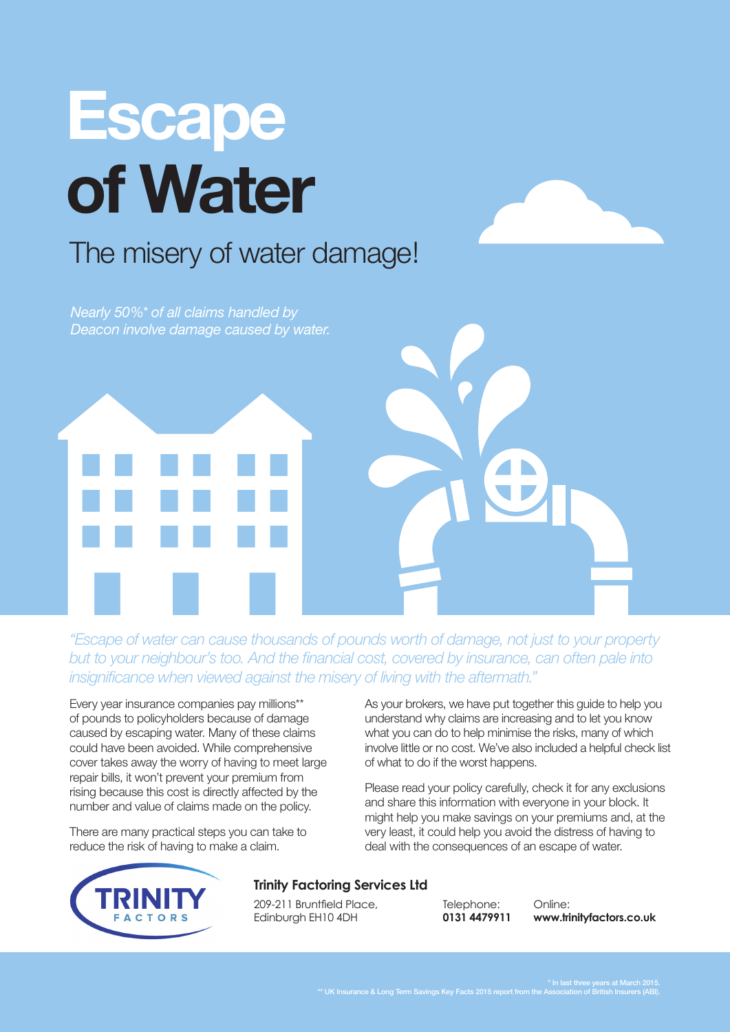# **Escape of Water**

### The misery of water damage!

*Nearly 50%\* of all claims handled by Deacon involve damage caused by water.* 

*"Escape of water can cause thousands of pounds worth of damage, not just to your property but to your neighbour's too. And the financial cost, covered by insurance, can often pale into insignificance when viewed against the misery of living with the aftermath."*

Every year insurance companies pay millions\*\* of pounds to policyholders because of damage caused by escaping water. Many of these claims could have been avoided. While comprehensive cover takes away the worry of having to meet large repair bills, it won't prevent your premium from rising because this cost is directly affected by the number and value of claims made on the policy.

There are many practical steps you can take to reduce the risk of having to make a claim.

As your brokers, we have put together this guide to help you understand why claims are increasing and to let you know what you can do to help minimise the risks, many of which involve little or no cost. We've also included a helpful check list of what to do if the worst happens.

Please read your policy carefully, check it for any exclusions and share this information with everyone in your block. It might help you make savings on your premiums and, at the very least, it could help you avoid the distress of having to deal with the consequences of an escape of water.



#### **Trinity Factoring Services Ltd**

209-211 Bruntfield Place, Edinburgh EH10 4DH

Telephone: **0131 4479911**

Online: **www.trinityfactors.co.uk**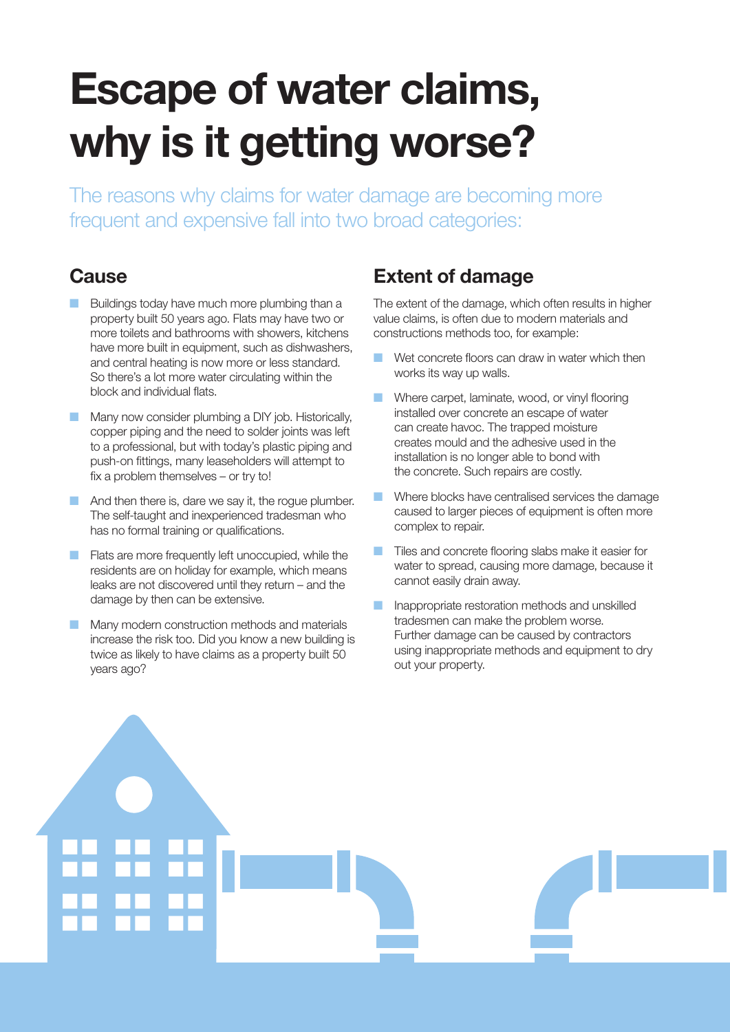# **Escape of water claims, why is it getting worse?**

The reasons why claims for water damage are becoming more frequent and expensive fall into two broad categories:

#### **Cause**

- Buildings today have much more plumbing than a property built 50 years ago. Flats may have two or more toilets and bathrooms with showers, kitchens have more built in equipment, such as dishwashers, and central heating is now more or less standard. So there's a lot more water circulating within the block and individual flats.
- Many now consider plumbing a DIY job. Historically, copper piping and the need to solder joints was left to a professional, but with today's plastic piping and push-on fittings, many leaseholders will attempt to fix a problem themselves – or try to!
- And then there is, dare we say it, the rogue plumber. The self-taught and inexperienced tradesman who has no formal training or qualifications.
- Flats are more frequently left unoccupied, while the residents are on holiday for example, which means leaks are not discovered until they return – and the damage by then can be extensive.
- Many modern construction methods and materials increase the risk too. Did you know a new building is twice as likely to have claims as a property built 50 years ago?

#### **Extent of damage**

The extent of the damage, which often results in higher value claims, is often due to modern materials and constructions methods too, for example:

- Wet concrete floors can draw in water which then works its way up walls.
- Where carpet, laminate, wood, or vinyl flooring installed over concrete an escape of water can create havoc. The trapped moisture creates mould and the adhesive used in the installation is no longer able to bond with the concrete. Such repairs are costly.
- Where blocks have centralised services the damage caused to larger pieces of equipment is often more complex to repair.
- Tiles and concrete flooring slabs make it easier for water to spread, causing more damage, because it cannot easily drain away.
- Inappropriate restoration methods and unskilled tradesmen can make the problem worse. Further damage can be caused by contractors using inappropriate methods and equipment to dry out your property.

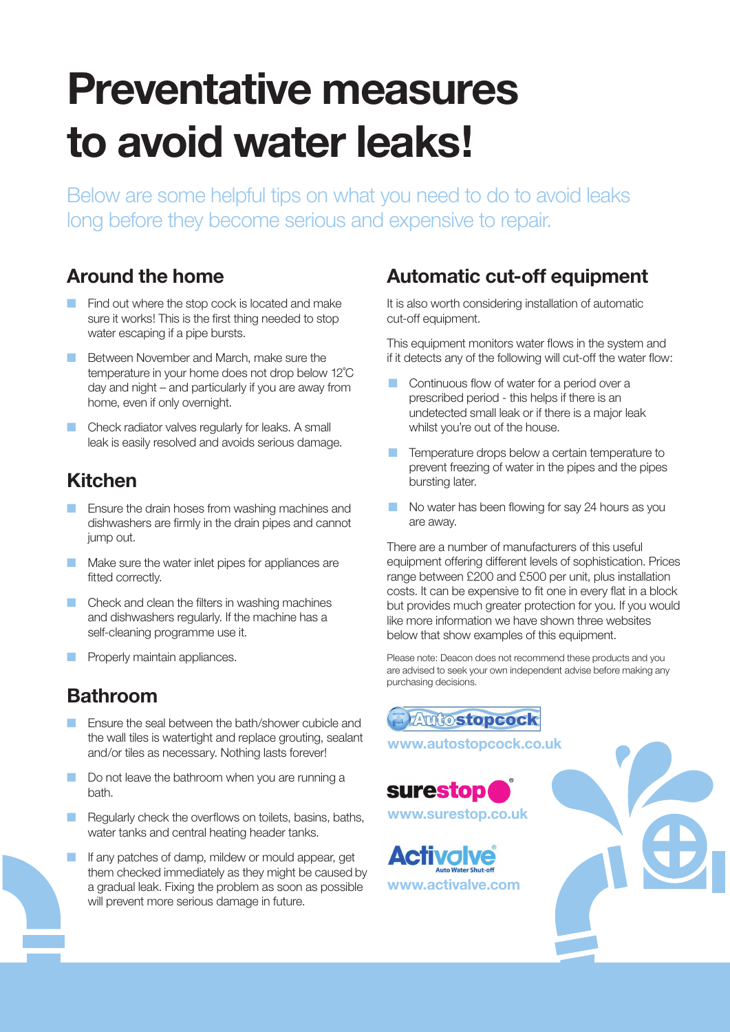### **Preventative measures to avoid water leaks!**

Below are some helpful tips on what you need to do to avoid leaks long before they become serious and expensive to repair.

### **Around the home**

- Find out where the stop cock is located and make sure it works! This is the first thing needed to stop water escaping if a pipe bursts.
- Between November and March, make sure the temperature in your home does not drop below 12˚C day and night – and particularly if you are away from home, even if only overnight.
- Check radiator valves regularly for leaks. A small leak is easily resolved and avoids serious damage.

#### **Kitchen**

- **E** Ensure the drain hoses from washing machines and dishwashers are firmly in the drain pipes and cannot jump out.
- Make sure the water inlet pipes for appliances are fitted correctly.
- Check and clean the filters in washing machines and dishwashers regularly. If the machine has a self-cleaning programme use it.
- Properly maintain appliances.

#### **Bathroom**

- **E** Ensure the seal between the bath/shower cubicle and the wall tiles is watertight and replace grouting, sealant and/or tiles as necessary. Nothing lasts forever!
- Do not leave the bathroom when you are running a bath.
- **B** Regularly check the overflows on toilets, basins, baths, water tanks and central heating header tanks.
- If any patches of damp, mildew or mould appear, get them checked immediately as they might be caused by a gradual leak. Fixing the problem as soon as possible will prevent more serious damage in future.

#### **Automatic cut-off equipment**

It is also worth considering installation of automatic cut-off equipment.

This equipment monitors water flows in the system and if it detects any of the following will cut-off the water flow:

- Continuous flow of water for a period over a prescribed period - this helps if there is an undetected small leak or if there is a major leak whilst you're out of the house.
- Temperature drops below a certain temperature to prevent freezing of water in the pipes and the pipes bursting later.
- No water has been flowing for say 24 hours as you are away.

There are a number of manufacturers of this useful equipment offering different levels of sophistication. Prices range between £200 and £500 per unit, plus installation costs. It can be expensive to fit one in every flat in a block but provides much greater protection for you. If you would like more information we have shown three websites below that show examples of this equipment.

Please note: Deacon does not recommend these products and you are advised to seek your own independent advise before making any purchasing decisions.

**Autostopcock** 

**www.autostopcock.co.uk**



**www.surestop.co.uk**

**www.activalve.com**